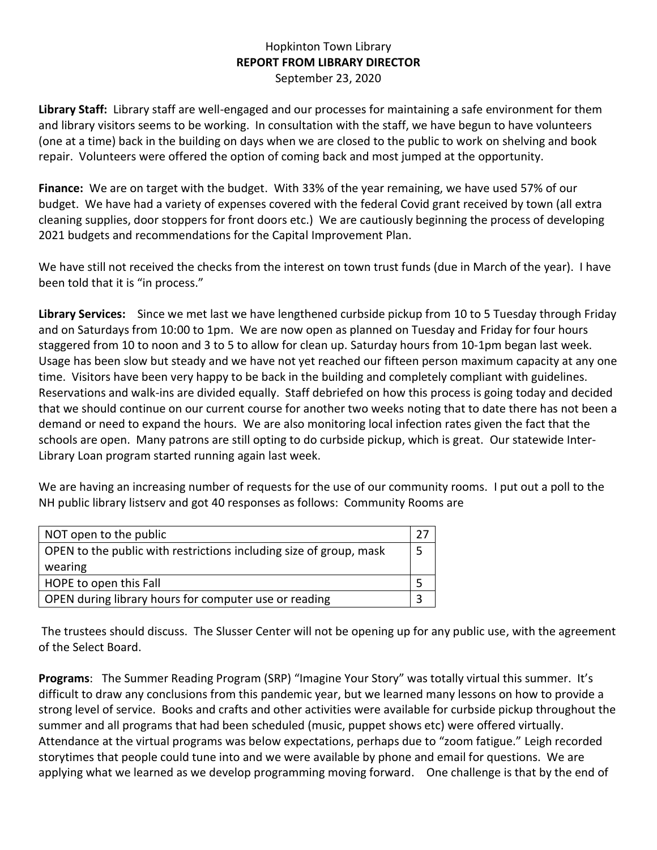## Hopkinton Town Library **REPORT FROM LIBRARY DIRECTOR** September 23, 2020

**Library Staff:** Library staff are well-engaged and our processes for maintaining a safe environment for them and library visitors seems to be working. In consultation with the staff, we have begun to have volunteers (one at a time) back in the building on days when we are closed to the public to work on shelving and book repair. Volunteers were offered the option of coming back and most jumped at the opportunity.

**Finance:** We are on target with the budget. With 33% of the year remaining, we have used 57% of our budget. We have had a variety of expenses covered with the federal Covid grant received by town (all extra cleaning supplies, door stoppers for front doors etc.) We are cautiously beginning the process of developing 2021 budgets and recommendations for the Capital Improvement Plan.

We have still not received the checks from the interest on town trust funds (due in March of the year). I have been told that it is "in process."

**Library Services:** Since we met last we have lengthened curbside pickup from 10 to 5 Tuesday through Friday and on Saturdays from 10:00 to 1pm. We are now open as planned on Tuesday and Friday for four hours staggered from 10 to noon and 3 to 5 to allow for clean up. Saturday hours from 10-1pm began last week. Usage has been slow but steady and we have not yet reached our fifteen person maximum capacity at any one time. Visitors have been very happy to be back in the building and completely compliant with guidelines. Reservations and walk-ins are divided equally. Staff debriefed on how this process is going today and decided that we should continue on our current course for another two weeks noting that to date there has not been a demand or need to expand the hours. We are also monitoring local infection rates given the fact that the schools are open. Many patrons are still opting to do curbside pickup, which is great. Our statewide Inter-Library Loan program started running again last week.

We are having an increasing number of requests for the use of our community rooms. I put out a poll to the NH public library listserv and got 40 responses as follows: Community Rooms are

| NOT open to the public                                             |  |
|--------------------------------------------------------------------|--|
| OPEN to the public with restrictions including size of group, mask |  |
| wearing                                                            |  |
| HOPE to open this Fall                                             |  |
| OPEN during library hours for computer use or reading              |  |

The trustees should discuss. The Slusser Center will not be opening up for any public use, with the agreement of the Select Board.

**Programs**: The Summer Reading Program (SRP) "Imagine Your Story" was totally virtual this summer. It's difficult to draw any conclusions from this pandemic year, but we learned many lessons on how to provide a strong level of service. Books and crafts and other activities were available for curbside pickup throughout the summer and all programs that had been scheduled (music, puppet shows etc) were offered virtually. Attendance at the virtual programs was below expectations, perhaps due to "zoom fatigue." Leigh recorded storytimes that people could tune into and we were available by phone and email for questions. We are applying what we learned as we develop programming moving forward. One challenge is that by the end of